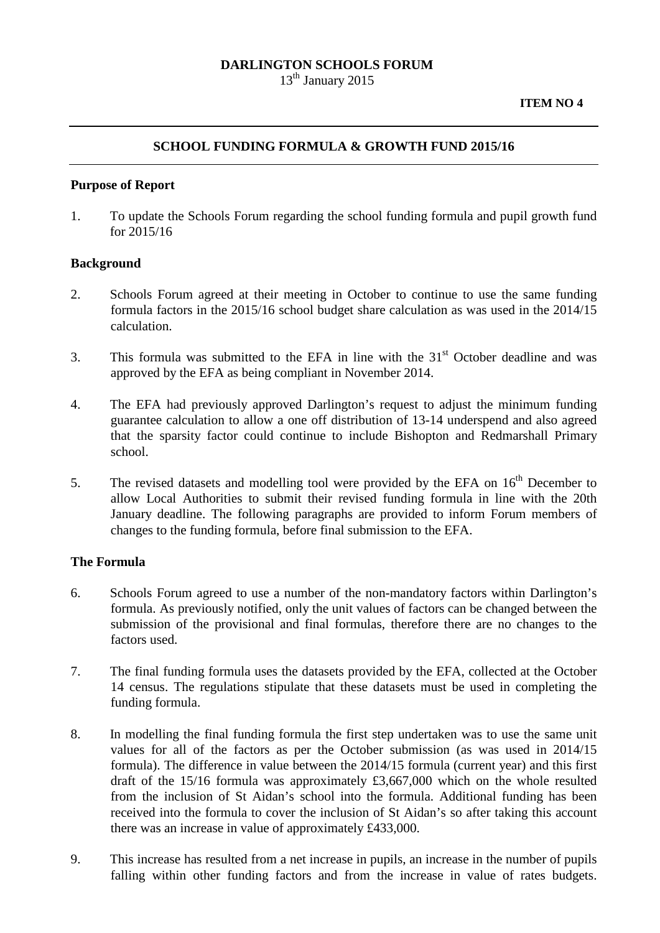## **DARLINGTON SCHOOLS FORUM**

 $13<sup>th</sup>$  January 2015

# **SCHOOL FUNDING FORMULA & GROWTH FUND 2015/16**

### **Purpose of Report**

1. To update the Schools Forum regarding the school funding formula and pupil growth fund for 2015/16

#### **Background**

- 2. Schools Forum agreed at their meeting in October to continue to use the same funding formula factors in the 2015/16 school budget share calculation as was used in the 2014/15 calculation.
- 3. This formula was submitted to the EFA in line with the  $31<sup>st</sup>$  October deadline and was approved by the EFA as being compliant in November 2014.
- 4. The EFA had previously approved Darlington's request to adjust the minimum funding guarantee calculation to allow a one off distribution of 13-14 underspend and also agreed that the sparsity factor could continue to include Bishopton and Redmarshall Primary school.
- 5. The revised datasets and modelling tool were provided by the EFA on  $16<sup>th</sup>$  December to allow Local Authorities to submit their revised funding formula in line with the 20th January deadline. The following paragraphs are provided to inform Forum members of changes to the funding formula, before final submission to the EFA.

## **The Formula**

- 6. Schools Forum agreed to use a number of the non-mandatory factors within Darlington's formula. As previously notified, only the unit values of factors can be changed between the submission of the provisional and final formulas, therefore there are no changes to the factors used.
- 7. The final funding formula uses the datasets provided by the EFA, collected at the October 14 census. The regulations stipulate that these datasets must be used in completing the funding formula.
- 8. In modelling the final funding formula the first step undertaken was to use the same unit values for all of the factors as per the October submission (as was used in 2014/15 formula). The difference in value between the 2014/15 formula (current year) and this first draft of the 15/16 formula was approximately £3,667,000 which on the whole resulted from the inclusion of St Aidan's school into the formula. Additional funding has been received into the formula to cover the inclusion of St Aidan's so after taking this account there was an increase in value of approximately £433,000.
- 9. This increase has resulted from a net increase in pupils, an increase in the number of pupils falling within other funding factors and from the increase in value of rates budgets.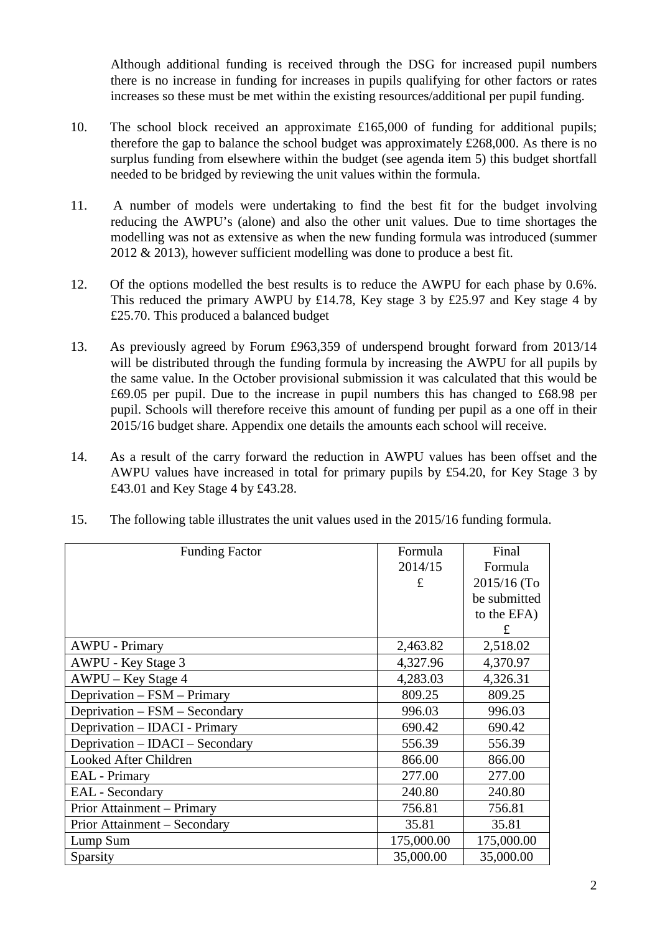Although additional funding is received through the DSG for increased pupil numbers there is no increase in funding for increases in pupils qualifying for other factors or rates increases so these must be met within the existing resources/additional per pupil funding.

- 10. The school block received an approximate £165,000 of funding for additional pupils; therefore the gap to balance the school budget was approximately £268,000. As there is no surplus funding from elsewhere within the budget (see agenda item 5) this budget shortfall needed to be bridged by reviewing the unit values within the formula.
- 11. A number of models were undertaking to find the best fit for the budget involving reducing the AWPU's (alone) and also the other unit values. Due to time shortages the modelling was not as extensive as when the new funding formula was introduced (summer 2012 & 2013), however sufficient modelling was done to produce a best fit.
- 12. Of the options modelled the best results is to reduce the AWPU for each phase by 0.6%. This reduced the primary AWPU by £14.78, Key stage 3 by £25.97 and Key stage 4 by £25.70. This produced a balanced budget
- 13. As previously agreed by Forum £963,359 of underspend brought forward from 2013/14 will be distributed through the funding formula by increasing the AWPU for all pupils by the same value. In the October provisional submission it was calculated that this would be £69.05 per pupil. Due to the increase in pupil numbers this has changed to £68.98 per pupil. Schools will therefore receive this amount of funding per pupil as a one off in their 2015/16 budget share. Appendix one details the amounts each school will receive.
- 14. As a result of the carry forward the reduction in AWPU values has been offset and the AWPU values have increased in total for primary pupils by £54.20, for Key Stage 3 by £43.01 and Key Stage 4 by £43.28.

| 15. |  |  | The following table illustrates the unit values used in the 2015/16 funding formula. |
|-----|--|--|--------------------------------------------------------------------------------------|
|-----|--|--|--------------------------------------------------------------------------------------|

| <b>Funding Factor</b>           | Formula    | Final        |
|---------------------------------|------------|--------------|
|                                 | 2014/15    | Formula      |
|                                 | £          | 2015/16 (To  |
|                                 |            | be submitted |
|                                 |            | to the EFA)  |
|                                 |            | £            |
| <b>AWPU - Primary</b>           | 2,463.82   | 2,518.02     |
| AWPU - Key Stage 3              | 4,327.96   | 4,370.97     |
| AWPU – Key Stage 4              | 4,283.03   | 4,326.31     |
| Deprivation - FSM - Primary     | 809.25     | 809.25       |
| Deprivation - FSM - Secondary   | 996.03     | 996.03       |
| Deprivation – IDACI - Primary   | 690.42     | 690.42       |
| Deprivation – IDACI – Secondary | 556.39     | 556.39       |
| Looked After Children           | 866.00     | 866.00       |
| <b>EAL</b> - Primary            | 277.00     | 277.00       |
| <b>EAL</b> - Secondary          | 240.80     | 240.80       |
| Prior Attainment – Primary      | 756.81     | 756.81       |
| Prior Attainment – Secondary    | 35.81      | 35.81        |
| Lump Sum                        | 175,000.00 | 175,000.00   |
| Sparsity                        | 35,000.00  | 35,000.00    |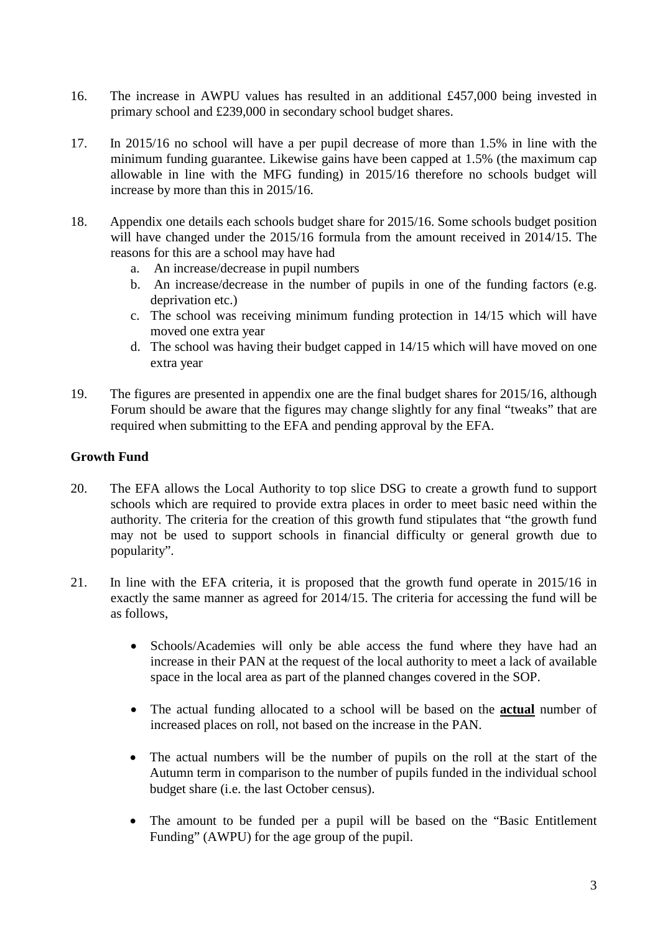- 16. The increase in AWPU values has resulted in an additional £457,000 being invested in primary school and £239,000 in secondary school budget shares.
- 17. In 2015/16 no school will have a per pupil decrease of more than 1.5% in line with the minimum funding guarantee. Likewise gains have been capped at 1.5% (the maximum cap allowable in line with the MFG funding) in 2015/16 therefore no schools budget will increase by more than this in 2015/16.
- 18. Appendix one details each schools budget share for 2015/16. Some schools budget position will have changed under the 2015/16 formula from the amount received in 2014/15. The reasons for this are a school may have had
	- a. An increase/decrease in pupil numbers
	- b. An increase/decrease in the number of pupils in one of the funding factors (e.g. deprivation etc.)
	- c. The school was receiving minimum funding protection in 14/15 which will have moved one extra year
	- d. The school was having their budget capped in 14/15 which will have moved on one extra year
- 19. The figures are presented in appendix one are the final budget shares for 2015/16, although Forum should be aware that the figures may change slightly for any final "tweaks" that are required when submitting to the EFA and pending approval by the EFA.

# **Growth Fund**

- 20. The EFA allows the Local Authority to top slice DSG to create a growth fund to support schools which are required to provide extra places in order to meet basic need within the authority. The criteria for the creation of this growth fund stipulates that "the growth fund may not be used to support schools in financial difficulty or general growth due to popularity".
- 21. In line with the EFA criteria, it is proposed that the growth fund operate in 2015/16 in exactly the same manner as agreed for 2014/15. The criteria for accessing the fund will be as follows,
	- Schools/Academies will only be able access the fund where they have had an increase in their PAN at the request of the local authority to meet a lack of available space in the local area as part of the planned changes covered in the SOP.
	- The actual funding allocated to a school will be based on the **actual** number of increased places on roll, not based on the increase in the PAN.
	- The actual numbers will be the number of pupils on the roll at the start of the Autumn term in comparison to the number of pupils funded in the individual school budget share (i.e. the last October census).
	- The amount to be funded per a pupil will be based on the "Basic Entitlement Funding" (AWPU) for the age group of the pupil.